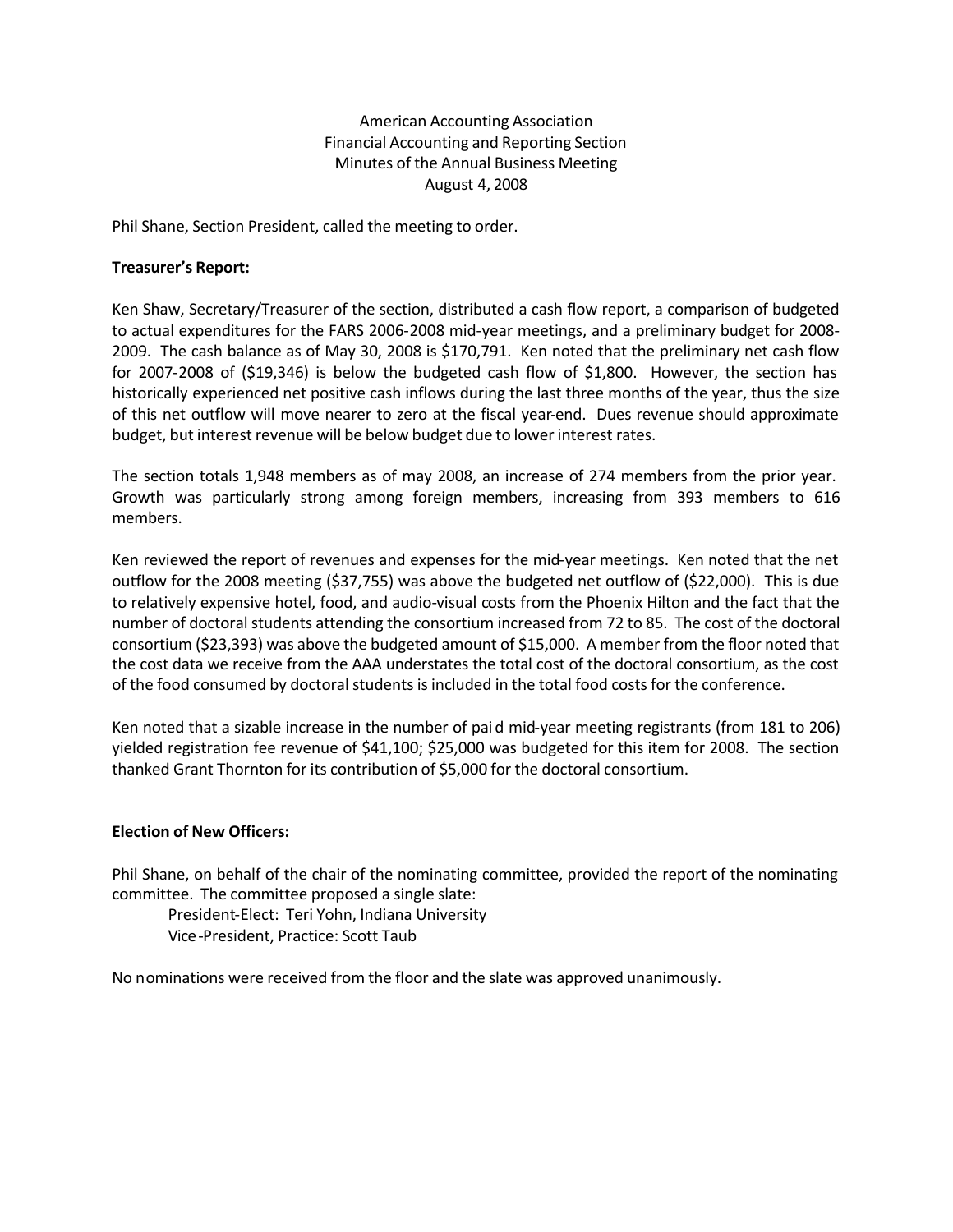American Accounting Association Financial Accounting and Reporting Section Minutes of the Annual Business Meeting August 4, 2008

Phil Shane, Section President, called the meeting to order.

## **Treasurer's Report:**

Ken Shaw, Secretary/Treasurer of the section, distributed a cash flow report, a comparison of budgeted to actual expenditures for the FARS 2006-2008 mid-year meetings, and a preliminary budget for 2008- 2009. The cash balance as of May 30, 2008 is \$170,791. Ken noted that the preliminary net cash flow for 2007-2008 of (\$19,346) is below the budgeted cash flow of \$1,800. However, the section has historically experienced net positive cash inflows during the last three months of the year, thus the size of this net outflow will move nearer to zero at the fiscal year-end. Dues revenue should approximate budget, but interest revenue will be below budget due to lower interest rates.

The section totals 1,948 members as of may 2008, an increase of 274 members from the prior year. Growth was particularly strong among foreign members, increasing from 393 members to 616 members.

Ken reviewed the report of revenues and expenses for the mid-year meetings. Ken noted that the net outflow for the 2008 meeting (\$37,755) was above the budgeted net outflow of (\$22,000). This is due to relatively expensive hotel, food, and audio-visual costs from the Phoenix Hilton and the fact that the number of doctoral students attending the consortium increased from 72 to 85. The cost of the doctoral consortium (\$23,393) was above the budgeted amount of \$15,000. A member from the floor noted that the cost data we receive from the AAA understates the total cost of the doctoral consortium, as the cost of the food consumed by doctoral students is included in the total food costs for the conference.

Ken noted that a sizable increase in the number of paid mid-year meeting registrants (from 181 to 206) yielded registration fee revenue of \$41,100; \$25,000 was budgeted for this item for 2008. The section thanked Grant Thornton for its contribution of \$5,000 for the doctoral consortium.

#### **Election of New Officers:**

Phil Shane, on behalf of the chair of the nominating committee, provided the report of the nominating committee. The committee proposed a single slate:

President-Elect: Teri Yohn, Indiana University Vice-President, Practice: Scott Taub

No nominations were received from the floor and the slate was approved unanimously.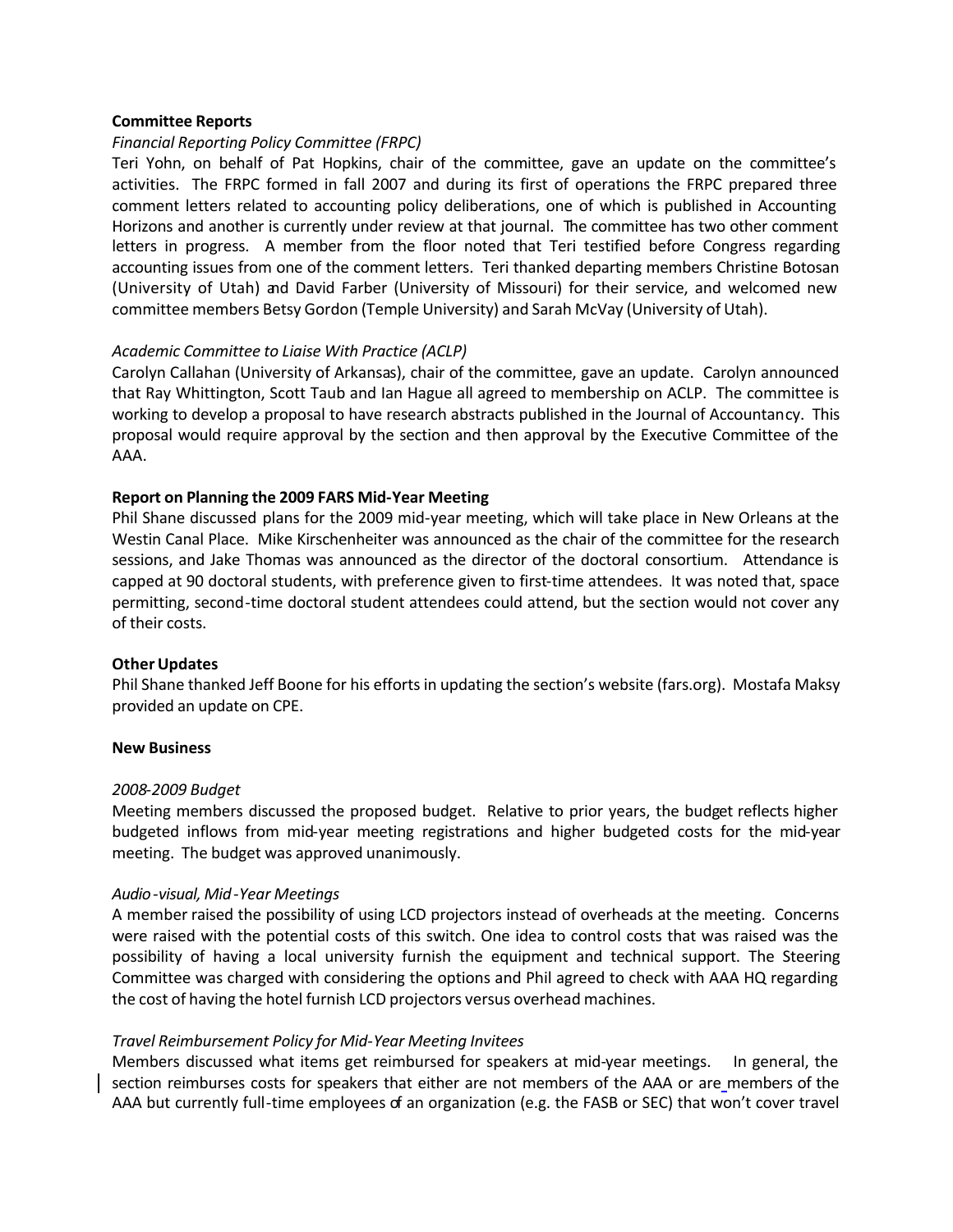## **Committee Reports**

# *Financial Reporting Policy Committee (FRPC)*

Teri Yohn, on behalf of Pat Hopkins, chair of the committee, gave an update on the committee's activities. The FRPC formed in fall 2007 and during its first of operations the FRPC prepared three comment letters related to accounting policy deliberations, one of which is published in Accounting Horizons and another is currently under review at that journal. The committee has two other comment letters in progress. A member from the floor noted that Teri testified before Congress regarding accounting issues from one of the comment letters. Teri thanked departing members Christine Botosan (University of Utah) and David Farber (University of Missouri) for their service, and welcomed new committee members Betsy Gordon (Temple University) and Sarah McVay (University of Utah).

## *Academic Committee to Liaise With Practice (ACLP)*

Carolyn Callahan (University of Arkansas), chair of the committee, gave an update. Carolyn announced that Ray Whittington, Scott Taub and Ian Hague all agreed to membership on ACLP. The committee is working to develop a proposal to have research abstracts published in the Journal of Accountancy. This proposal would require approval by the section and then approval by the Executive Committee of the AAA.

## **Report on Planning the 2009 FARS Mid-Year Meeting**

Phil Shane discussed plans for the 2009 mid-year meeting, which will take place in New Orleans at the Westin Canal Place. Mike Kirschenheiter was announced as the chair of the committee for the research sessions, and Jake Thomas was announced as the director of the doctoral consortium. Attendance is capped at 90 doctoral students, with preference given to first-time attendees. It was noted that, space permitting, second-time doctoral student attendees could attend, but the section would not cover any of their costs.

#### **Other Updates**

Phil Shane thanked Jeff Boone for his efforts in updating the section's website (fars.org). Mostafa Maksy provided an update on CPE.

#### **New Business**

#### *2008-2009 Budget*

Meeting members discussed the proposed budget. Relative to prior years, the budget reflects higher budgeted inflows from mid-year meeting registrations and higher budgeted costs for the mid-year meeting. The budget was approved unanimously.

# *Audio-visual, Mid-Year Meetings*

A member raised the possibility of using LCD projectors instead of overheads at the meeting. Concerns were raised with the potential costs of this switch. One idea to control costs that was raised was the possibility of having a local university furnish the equipment and technical support. The Steering Committee was charged with considering the options and Phil agreed to check with AAA HQ regarding the cost of having the hotel furnish LCD projectors versus overhead machines.

#### *Travel Reimbursement Policy for Mid-Year Meeting Invitees*

Members discussed what items get reimbursed for speakers at mid-year meetings. In general, the section reimburses costs for speakers that either are not members of the AAA or are members of the AAA but currently full-time employees of an organization (e.g. the FASB or SEC) that won't cover travel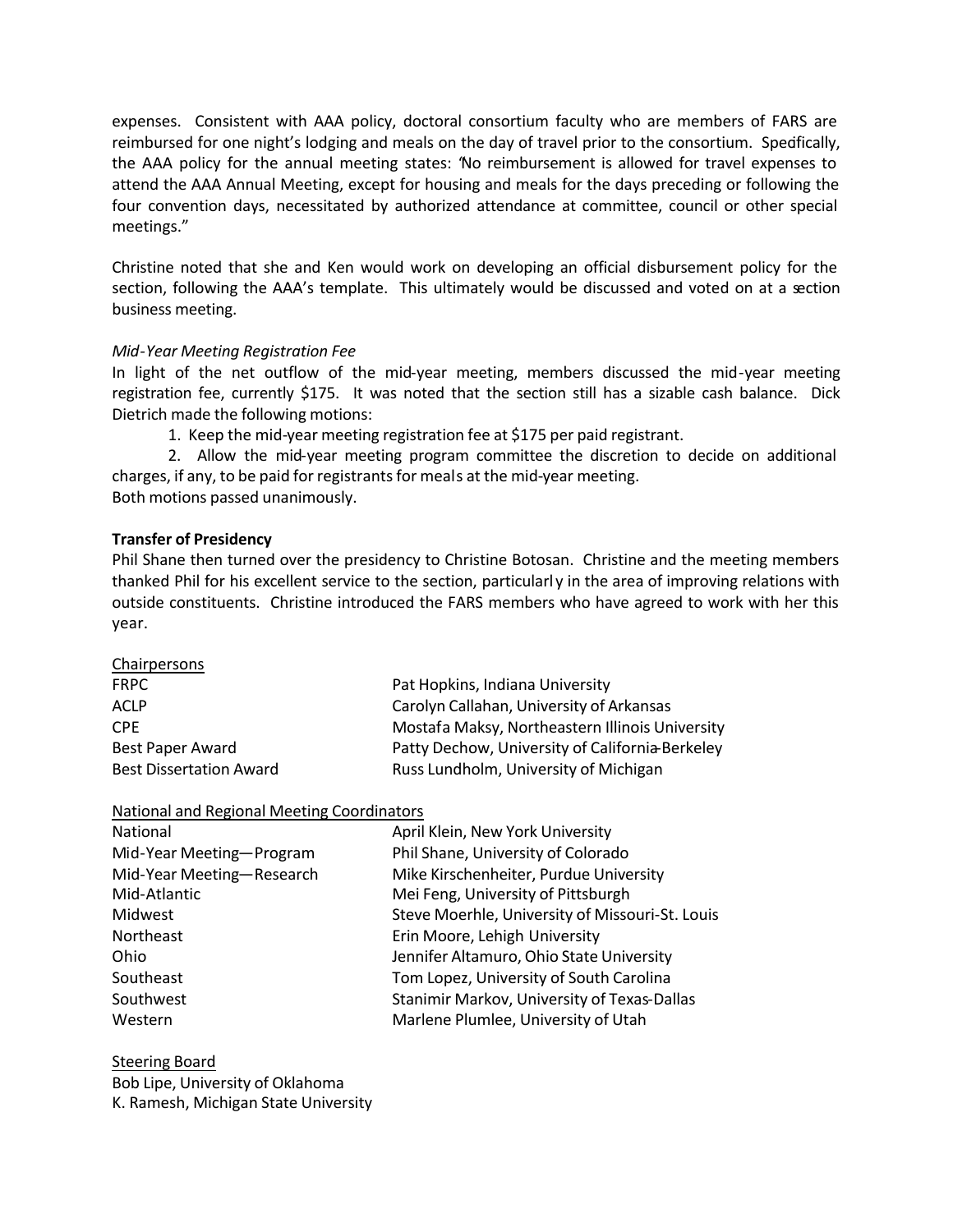expenses. Consistent with AAA policy, doctoral consortium faculty who are members of FARS are reimbursed for one night's lodging and meals on the day of travel prior to the consortium. Spedfically, the AAA policy for the annual meeting states: "No reimbursement is allowed for travel expenses to attend the AAA Annual Meeting, except for housing and meals for the days preceding or following the four convention days, necessitated by authorized attendance at committee, council or other special meetings."

Christine noted that she and Ken would work on developing an official disbursement policy for the section, following the AAA's template. This ultimately would be discussed and voted on at a section business meeting.

# *Mid-Year Meeting Registration Fee*

In light of the net outflow of the mid-year meeting, members discussed the mid-year meeting registration fee, currently \$175. It was noted that the section still has a sizable cash balance. Dick Dietrich made the following motions:

1. Keep the mid-year meeting registration fee at \$175 per paid registrant.

2. Allow the mid-year meeting program committee the discretion to decide on additional charges, if any, to be paid for registrants for meals at the mid-year meeting. Both motions passed unanimously.

# **Transfer of Presidency**

Phil Shane then turned over the presidency to Christine Botosan. Christine and the meeting members thanked Phil for his excellent service to the section, particularl y in the area of improving relations with outside constituents. Christine introduced the FARS members who have agreed to work with her this year.

| Chairpersons                   |                                                 |
|--------------------------------|-------------------------------------------------|
| <b>FRPC</b>                    | Pat Hopkins, Indiana University                 |
| <b>ACLP</b>                    | Carolyn Callahan, University of Arkansas        |
| <b>CPF</b>                     | Mostafa Maksy, Northeastern Illinois University |
| <b>Best Paper Award</b>        | Patty Dechow, University of California Berkeley |
| <b>Best Dissertation Award</b> | Russ Lundholm, University of Michigan           |

# National and Regional Meeting Coordinators

| National                  | April Klein, New York University                |
|---------------------------|-------------------------------------------------|
| Mid-Year Meeting-Program  | Phil Shane, University of Colorado              |
| Mid-Year Meeting-Research | Mike Kirschenheiter, Purdue University          |
| Mid-Atlantic              | Mei Feng, University of Pittsburgh              |
| Midwest                   | Steve Moerhle, University of Missouri-St. Louis |
| Northeast                 | Erin Moore, Lehigh University                   |
| Ohio                      | Jennifer Altamuro, Ohio State University        |
| Southeast                 | Tom Lopez, University of South Carolina         |
| Southwest                 | Stanimir Markov, University of Texas-Dallas     |
| Western                   | Marlene Plumlee, University of Utah             |
|                           |                                                 |

Steering Board Bob Lipe, University of Oklahoma K. Ramesh, Michigan State University